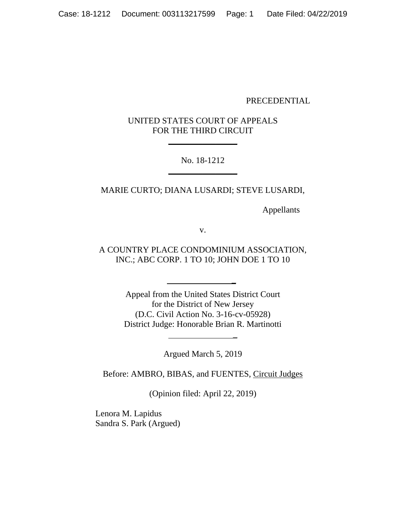#### PRECEDENTIAL

# UNITED STATES COURT OF APPEALS FOR THE THIRD CIRCUIT

 $\overline{\phantom{a}}$  , where  $\overline{\phantom{a}}$ 

## No. 18-1212 \_\_\_\_\_\_\_\_\_\_\_\_\_\_\_\_

### MARIE CURTO; DIANA LUSARDI; STEVE LUSARDI,

Appellants

v.

A COUNTRY PLACE CONDOMINIUM ASSOCIATION, INC.; ABC CORP. 1 TO 10; JOHN DOE 1 TO 10

 **\_**

Appeal from the United States District Court for the District of New Jersey (D.C. Civil Action No. 3-16-cv-05928) District Judge: Honorable Brian R. Martinotti

Argued March 5, 2019

\_

Before: AMBRO, BIBAS, and FUENTES, Circuit Judges

(Opinion filed: April 22, 2019)

Lenora M. Lapidus Sandra S. Park (Argued)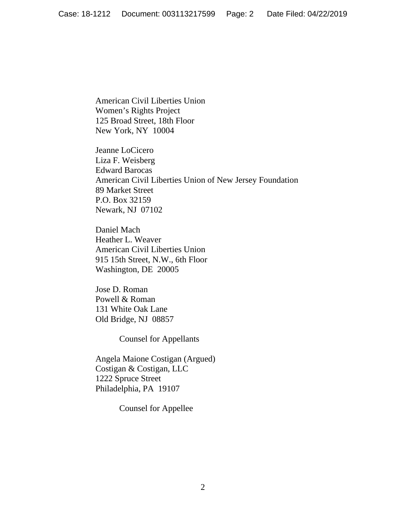American Civil Liberties Union Women's Rights Project 125 Broad Street, 18th Floor New York, NY 10004

Jeanne LoCicero Liza F. Weisberg Edward Barocas American Civil Liberties Union of New Jersey Foundation 89 Market Street P.O. Box 32159 Newark, NJ 07102

Daniel Mach Heather L. Weaver American Civil Liberties Union 915 15th Street, N.W., 6th Floor Washington, DE 20005

Jose D. Roman Powell & Roman 131 White Oak Lane Old Bridge, NJ 08857

Counsel for Appellants

Angela Maione Costigan (Argued) Costigan & Costigan, LLC 1222 Spruce Street Philadelphia, PA 19107

Counsel for Appellee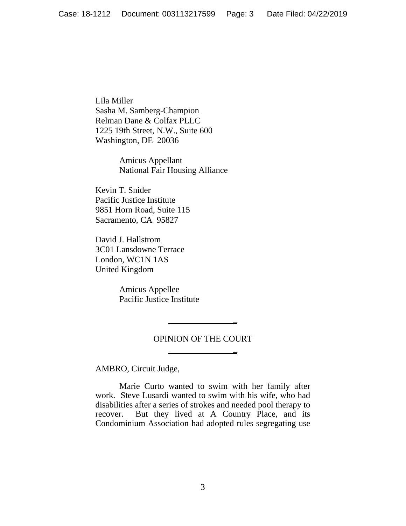Lila Miller Sasha M. Samberg-Champion Relman Dane & Colfax PLLC 1225 19th Street, N.W., Suite 600 Washington, DE 20036

> Amicus Appellant National Fair Housing Alliance

Kevin T. Snider Pacific Justice Institute 9851 Horn Road, Suite 115 Sacramento, CA 95827

David J. Hallstrom 3C01 Lansdowne Terrace London, WC1N 1AS United Kingdom

> Amicus Appellee Pacific Justice Institute

#### OPINION OF THE COURT

**\_**

**\_**

AMBRO, Circuit Judge,

Marie Curto wanted to swim with her family after work. Steve Lusardi wanted to swim with his wife, who had disabilities after a series of strokes and needed pool therapy to recover. But they lived at A Country Place, and its Condominium Association had adopted rules segregating use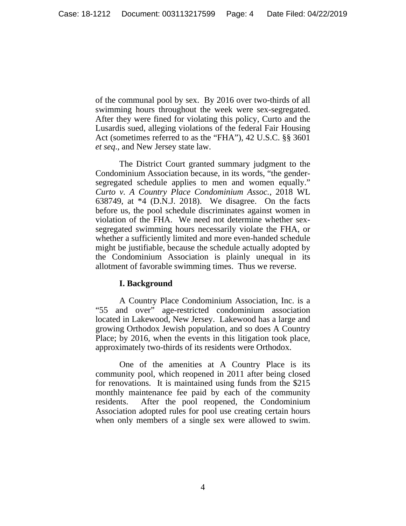of the communal pool by sex. By 2016 over two-thirds of all swimming hours throughout the week were sex-segregated. After they were fined for violating this policy, Curto and the Lusardis sued, alleging violations of the federal Fair Housing Act (sometimes referred to as the "FHA"), 42 U.S.C. §§ 3601 *et seq*., and New Jersey state law.

The District Court granted summary judgment to the Condominium Association because, in its words, "the gendersegregated schedule applies to men and women equally." *Curto v. A Country Place Condominium Assoc.*, 2018 WL 638749, at \*4 (D.N.J. 2018). We disagree. On the facts before us, the pool schedule discriminates against women in violation of the FHA. We need not determine whether sexsegregated swimming hours necessarily violate the FHA, or whether a sufficiently limited and more even-handed schedule might be justifiable, because the schedule actually adopted by the Condominium Association is plainly unequal in its allotment of favorable swimming times. Thus we reverse.

### **I. Background**

A Country Place Condominium Association, Inc. is a "55 and over" age-restricted condominium association located in Lakewood, New Jersey. Lakewood has a large and growing Orthodox Jewish population, and so does A Country Place; by 2016, when the events in this litigation took place, approximately two-thirds of its residents were Orthodox.

One of the amenities at A Country Place is its community pool, which reopened in 2011 after being closed for renovations. It is maintained using funds from the \$215 monthly maintenance fee paid by each of the community residents. After the pool reopened, the Condominium Association adopted rules for pool use creating certain hours when only members of a single sex were allowed to swim.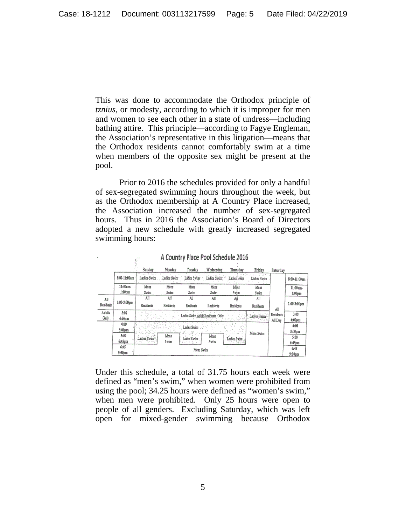This was done to accommodate the Orthodox principle of *tznius*, or modesty, according to which it is improper for men and women to see each other in a state of undress—including bathing attire. This principle—according to Fagye Engleman, the Association's representative in this litigation—means that the Orthodox residents cannot comfortably swim at a time when members of the opposite sex might be present at the pool.

Prior to 2016 the schedules provided for only a handful of sex-segregated swimming hours throughout the week, but as the Orthodox membership at A Country Place increased, the Association increased the number of sex-segregated hours. Thus in 2016 the Association's Board of Directors adopted a new schedule with greatly increased segregated swimming hours:

|                  |                    | Sunday                                          | Monday      | Tuesday                                                            | Wednesday        | Thursday              | Friday                    | Saturday         |                    |
|------------------|--------------------|-------------------------------------------------|-------------|--------------------------------------------------------------------|------------------|-----------------------|---------------------------|------------------|--------------------|
|                  | 8:00-11:00am       | Ladies Swim                                     | Ladies Swim | Lacies Swim                                                        | Ladies Swim      | Ladies : wim          | adies Swim<br><b>Side</b> |                  | 8:00-11:00am       |
|                  | 11:00am-           | Mens                                            | Mens        | Mens                                                               | Mens             | Meis                  | Mens                      |                  | 11:00am-           |
|                  | 1:00 <sub>pm</sub> | Swim                                            | Swim        | Swim                                                               | Swim             | Swim                  | Swim                      |                  | 1:00 <sub>pm</sub> |
| All              | 1:00-3:00pm        | All                                             | All         | All                                                                | All              | Ajj                   | All                       | All              |                    |
| <b>Residents</b> |                    | <b>Residents</b>                                | Residents   | Residents                                                          | <b>Residents</b> | Residents             | <b>Residents</b>          |                  | $1:00-3:00$ pm     |
| Adults           | 3:00               |                                                 |             |                                                                    |                  |                       |                           | <b>Residents</b> | 3:00               |
| Only             | $4:00 \text{pm}$   | Ladies Swim Adult Residents Only<br>Ladies Swim |             |                                                                    |                  |                       |                           | All Day          | $4:00 \text{pm}$   |
|                  | 4:00               |                                                 |             | Ladies Swim                                                        |                  |                       |                           |                  | 4:00               |
|                  | 5:00 <sub>pm</sub> | Ladies Swim                                     | Mens        | $\sim \frac{C_{\rm{tot}}^{\rm{max}}}{2\pi\sqrt{G}}$<br>Ladies Swim | Mens             | 299.98<br>Ladies Swim | Mens Swim                 |                  | 5:00 <sub>pm</sub> |
|                  | 5:00               |                                                 |             |                                                                    |                  |                       |                           |                  | 5:00               |
|                  | 6:45pm             |                                                 | Swim        | 次数と                                                                | Swim             |                       |                           |                  | 6:45 <sub>pm</sub> |
|                  | 6:45<br>Mens Swim  |                                                 |             |                                                                    |                  |                       |                           |                  | 6:45               |
|                  |                    | 9:00pm                                          |             |                                                                    |                  |                       |                           |                  | 9:00 <sub>pm</sub> |

A Country Place Pool Schedule 2016

 $\varphi_{\rm s}^{\rm (00)}$ 

Under this schedule, a total of 31.75 hours each week were defined as "men's swim," when women were prohibited from using the pool; 34.25 hours were defined as "women's swim," when men were prohibited. Only 25 hours were open to people of all genders. Excluding Saturday, which was left open for mixed-gender swimming because Orthodox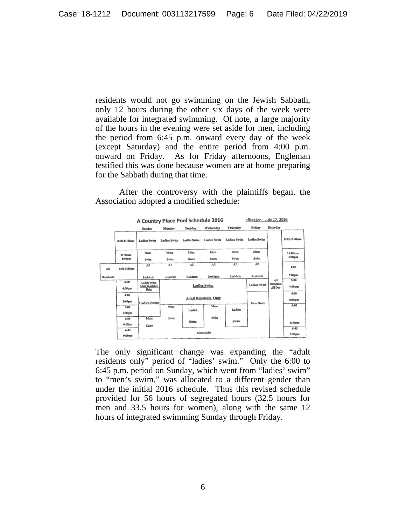residents would not go swimming on the Jewish Sabbath, only 12 hours during the other six days of the week were available for integrated swimming. Of note, a large majority of the hours in the evening were set aside for men, including the period from 6:45 p.m. onward every day of the week (except Saturday) and the entire period from 4:00 p.m. onward on Friday. As for Friday afternoons, Engleman testified this was done because women are at home preparing for the Sabbath during that time.

After the controversy with the plaintiffs began, the Association adopted a modified schedule:

|                  |                   | A Country Place Pool Schedule 2016             |                             |                     |                    |              | effective - July 17, 2016 |                                    |                          |  |
|------------------|-------------------|------------------------------------------------|-----------------------------|---------------------|--------------------|--------------|---------------------------|------------------------------------|--------------------------|--|
|                  |                   | Sanday                                         | Monday                      | Tuesday             | Wednesday          | Thursday     | Friday                    | Saturday                           |                          |  |
|                  | 8:00-11:00am      | Ladies Swim                                    | Ladies Swim                 | <b>Ladies Swins</b> | <b>Ladies Swim</b> | Ladies Swim  | <b>Ladies Swim</b>        |                                    | \$:00-11:00am            |  |
|                  | $11:00$ am-       | Mens                                           | Mens                        | Mens                | Mens               | Mens         | Mens                      |                                    | 11:00am-                 |  |
|                  | 1:00pm            | Swim                                           | Swim                        | Swim                | Swim               | Swim         | Swim                      |                                    | 1:00рш                   |  |
| All              | 1:00-3:00pm       | All                                            | All                         | All                 | All                | All          | All                       |                                    | 1:00                     |  |
| <b>Residents</b> |                   | Residents                                      | Residents                   | <b>Residents</b>    | Residents          | Residents    | <b>Residents</b>          |                                    | 3:00pm                   |  |
|                  | 3:00<br>4:00pm    | Ladies Swim.<br><b>Adult Residents</b><br>Only | <b>Ladies Swim</b>          |                     |                    |              | <b>Ladies Swim</b>        | All<br><b>Residents</b><br>All Day | 3:00<br>4:00рш           |  |
|                  | 4:00<br>5:00pm    | <b>Ladies Swim</b>                             | <b>Adult Residents Only</b> |                     |                    |              | Mens Swim                 |                                    | 4:00<br>$5:00 \text{pm}$ |  |
|                  | 5:00<br>6:00pm    |                                                | Mens                        | Ladies              | Mens               | Ladies       |                           |                                    | 5:80                     |  |
|                  | 6:00<br>6:45pm    | Mens                                           | Swim                        | Swim                | Swim               | <b>Swint</b> |                           |                                    | 6:45 <sub>pm</sub>       |  |
|                  | 6:45<br>$9:00$ pm | Swim                                           |                             |                     | Mens Swim          |              |                           | 6:45<br>9:00pm                     |                          |  |

The only significant change was expanding the "adult residents only" period of "ladies' swim." Only the 6:00 to 6:45 p.m. period on Sunday, which went from "ladies' swim" to "men's swim," was allocated to a different gender than under the initial 2016 schedule. Thus this revised schedule provided for 56 hours of segregated hours (32.5 hours for men and 33.5 hours for women), along with the same 12 hours of integrated swimming Sunday through Friday.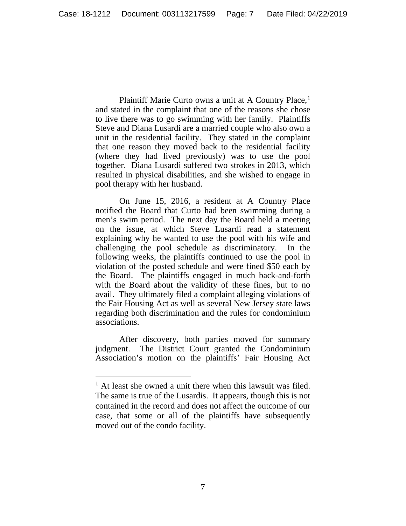Plaintiff Marie Curto owns a unit at A Country Place,<sup>1</sup> and stated in the complaint that one of the reasons she chose to live there was to go swimming with her family. Plaintiffs Steve and Diana Lusardi are a married couple who also own a unit in the residential facility. They stated in the complaint that one reason they moved back to the residential facility (where they had lived previously) was to use the pool together. Diana Lusardi suffered two strokes in 2013, which resulted in physical disabilities, and she wished to engage in pool therapy with her husband.

On June 15, 2016, a resident at A Country Place notified the Board that Curto had been swimming during a men's swim period. The next day the Board held a meeting on the issue, at which Steve Lusardi read a statement explaining why he wanted to use the pool with his wife and challenging the pool schedule as discriminatory. In the following weeks, the plaintiffs continued to use the pool in violation of the posted schedule and were fined \$50 each by the Board. The plaintiffs engaged in much back-and-forth with the Board about the validity of these fines, but to no avail. They ultimately filed a complaint alleging violations of the Fair Housing Act as well as several New Jersey state laws regarding both discrimination and the rules for condominium associations.

After discovery, both parties moved for summary judgment. The District Court granted the Condominium Association's motion on the plaintiffs' Fair Housing Act

 $<sup>1</sup>$  At least she owned a unit there when this lawsuit was filed.</sup> The same is true of the Lusardis. It appears, though this is not contained in the record and does not affect the outcome of our case, that some or all of the plaintiffs have subsequently moved out of the condo facility.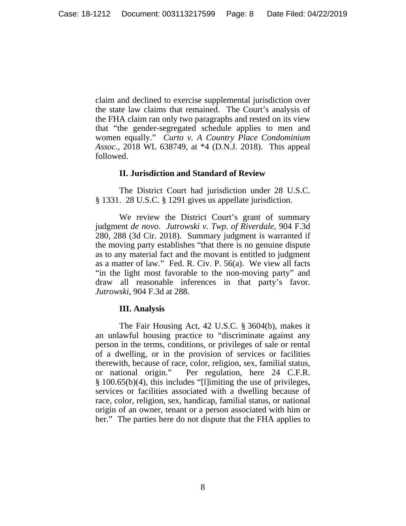claim and declined to exercise supplemental jurisdiction over the state law claims that remained. The Court's analysis of the FHA claim ran only two paragraphs and rested on its view that "the gender-segregated schedule applies to men and women equally." *Curto v. A Country Place Condominium Assoc.*, 2018 WL 638749, at \*4 (D.N.J. 2018). This appeal followed.

### **II. Jurisdiction and Standard of Review**

The District Court had jurisdiction under 28 U.S.C. § 1331. 28 U.S.C. § 1291 gives us appellate jurisdiction.

We review the District Court's grant of summary judgment *de novo*. *Jutrowski v. Twp. of Riverdale*, 904 F.3d 280, 288 (3d Cir. 2018). Summary judgment is warranted if the moving party establishes "that there is no genuine dispute as to any material fact and the movant is entitled to judgment as a matter of law." Fed. R. Civ. P. 56(a). We view all facts "in the light most favorable to the non-moving party" and draw all reasonable inferences in that party's favor. *Jutrowski*, 904 F.3d at 288.

### **III. Analysis**

The Fair Housing Act, 42 U.S.C. § 3604(b), makes it an unlawful housing practice to "discriminate against any person in the terms, conditions, or privileges of sale or rental of a dwelling, or in the provision of services or facilities therewith, because of race, color, religion, sex, familial status, or national origin." Per regulation, here 24 C.F.R. § 100.65(b)(4), this includes "[l]imiting the use of privileges, services or facilities associated with a dwelling because of race, color, religion, sex, handicap, familial status, or national origin of an owner, tenant or a person associated with him or her." The parties here do not dispute that the FHA applies to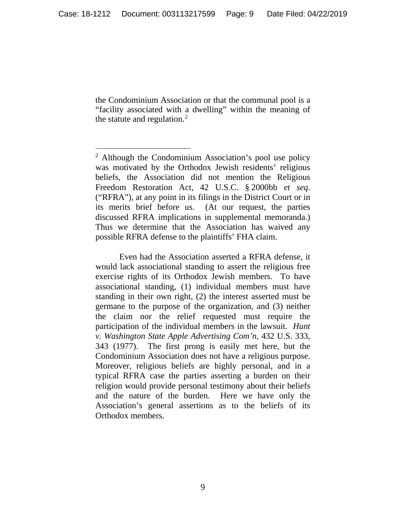the Condominium Association or that the communal pool is a "facility associated with a dwelling" within the meaning of the statute and regulation.<sup>2</sup>

Even had the Association asserted a RFRA defense, it would lack associational standing to assert the religious free exercise rights of its Orthodox Jewish members. To have associational standing, (1) individual members must have standing in their own right, (2) the interest asserted must be germane to the purpose of the organization, and (3) neither the claim nor the relief requested must require the participation of the individual members in the lawsuit. *Hunt v. Washington State Apple Advertising Com'n*, 432 U.S. 333, 343 (1977). The first prong is easily met here, but the Condominium Association does not have a religious purpose. Moreover, religious beliefs are highly personal, and in a typical RFRA case the parties asserting a burden on their religion would provide personal testimony about their beliefs and the nature of the burden. Here we have only the Association's general assertions as to the beliefs of its Orthodox members.

 <sup>2</sup> Although the Condominium Association's pool use policy was motivated by the Orthodox Jewish residents' religious beliefs, the Association did not mention the Religious Freedom Restoration Act, 42 U.S.C. § 2000bb *et seq*. ("RFRA"), at any point in its filings in the District Court or in its merits brief before us. (At our request, the parties discussed RFRA implications in supplemental memoranda.) Thus we determine that the Association has waived any possible RFRA defense to the plaintiffs' FHA claim.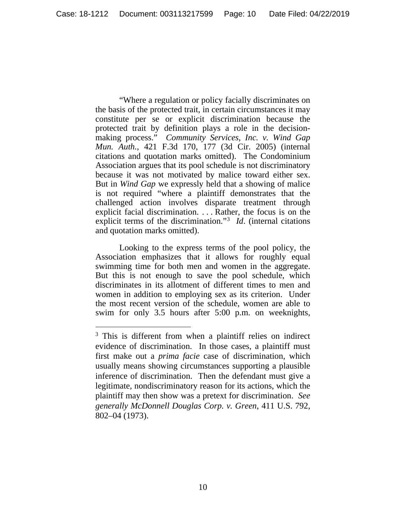"Where a regulation or policy facially discriminates on the basis of the protected trait, in certain circumstances it may constitute per se or explicit discrimination because the protected trait by definition plays a role in the decisionmaking process." *Community Services, Inc. v. Wind Gap Mun. Auth.*, 421 F.3d 170, 177 (3d Cir. 2005) (internal citations and quotation marks omitted). The Condominium Association argues that its pool schedule is not discriminatory because it was not motivated by malice toward either sex. But in *Wind Gap* we expressly held that a showing of malice is not required "where a plaintiff demonstrates that the challenged action involves disparate treatment through explicit facial discrimination. . . . Rather, the focus is on the explicit terms of the discrimination."<sup>3</sup> *Id*. (internal citations and quotation marks omitted).

Looking to the express terms of the pool policy, the Association emphasizes that it allows for roughly equal swimming time for both men and women in the aggregate. But this is not enough to save the pool schedule, which discriminates in its allotment of different times to men and women in addition to employing sex as its criterion. Under the most recent version of the schedule, women are able to swim for only 3.5 hours after 5:00 p.m. on weeknights,

<sup>&</sup>lt;sup>3</sup> This is different from when a plaintiff relies on indirect evidence of discrimination. In those cases, a plaintiff must first make out a *prima facie* case of discrimination, which usually means showing circumstances supporting a plausible inference of discrimination. Then the defendant must give a legitimate, nondiscriminatory reason for its actions, which the plaintiff may then show was a pretext for discrimination. *See generally McDonnell Douglas Corp. v. Green*, 411 U.S. 792, 802–04 (1973).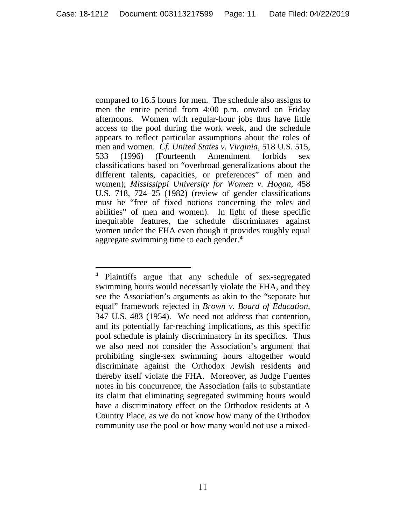compared to 16.5 hours for men. The schedule also assigns to men the entire period from 4:00 p.m. onward on Friday afternoons. Women with regular-hour jobs thus have little access to the pool during the work week, and the schedule appears to reflect particular assumptions about the roles of men and women. *Cf. United States v. Virginia*, 518 U.S. 515, 533 (1996) (Fourteenth Amendment forbids sex classifications based on "overbroad generalizations about the different talents, capacities, or preferences" of men and women); *Mississippi University for Women v. Hogan*, 458 U.S. 718, 724–25 (1982) (review of gender classifications must be "free of fixed notions concerning the roles and abilities" of men and women). In light of these specific inequitable features, the schedule discriminates against women under the FHA even though it provides roughly equal aggregate swimming time to each gender. 4

 <sup>4</sup> Plaintiffs argue that any schedule of sex-segregated swimming hours would necessarily violate the FHA, and they see the Association's arguments as akin to the "separate but equal" framework rejected in *Brown v. Board of Education*, 347 U.S. 483 (1954). We need not address that contention, and its potentially far-reaching implications, as this specific pool schedule is plainly discriminatory in its specifics. Thus we also need not consider the Association's argument that prohibiting single-sex swimming hours altogether would discriminate against the Orthodox Jewish residents and thereby itself violate the FHA. Moreover, as Judge Fuentes notes in his concurrence, the Association fails to substantiate its claim that eliminating segregated swimming hours would have a discriminatory effect on the Orthodox residents at A Country Place, as we do not know how many of the Orthodox community use the pool or how many would not use a mixed-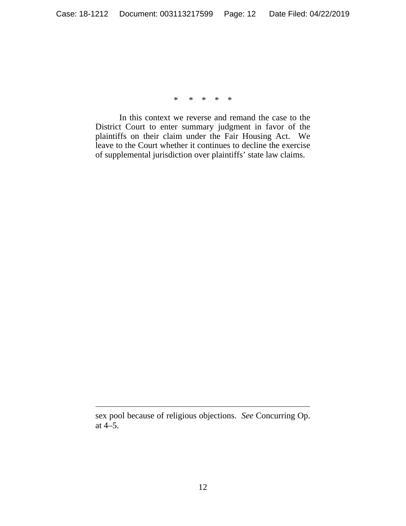\* \* \* \* \*

In this context we reverse and remand the case to the District Court to enter summary judgment in favor of the plaintiffs on their claim under the Fair Housing Act. We leave to the Court whether it continues to decline the exercise of supplemental jurisdiction over plaintiffs' state law claims.

 $\overline{a}$ 

sex pool because of religious objections. *See* Concurring Op. at 4–5.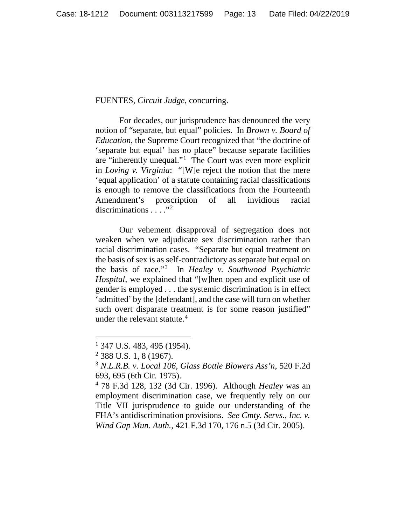#### FUENTES, *Circuit Judge*, concurring.

For decades, our jurisprudence has denounced the very notion of "separate, but equal" policies. In *Brown v. Board of Education*, the Supreme Court recognized that "the doctrine of 'separate but equal' has no place" because separate facilities are "inherently unequal."<sup>1</sup> The Court was even more explicit in *Loving v. Virginia*: "[W]e reject the notion that the mere 'equal application' of a statute containing racial classifications is enough to remove the classifications from the Fourteenth Amendment's proscription of all invidious racial discriminations  $\ldots$ ."<sup>2</sup>

Our vehement disapproval of segregation does not weaken when we adjudicate sex discrimination rather than racial discrimination cases. "Separate but equal treatment on the basis of sex is as self-contradictory as separate but equal on the basis of race."3 In *Healey v. Southwood Psychiatric Hospital*, we explained that "[w]hen open and explicit use of gender is employed . . . the systemic discrimination is in effect 'admitted' by the [defendant], and the case will turn on whether such overt disparate treatment is for some reason justified" under the relevant statute.<sup>4</sup>

 $1$  347 U.S. 483, 495 (1954).

<sup>2</sup> 388 U.S. 1, 8 (1967).

<sup>3</sup> *N.L.R.B. v. Local 106, Glass Bottle Blowers Ass'n*, 520 F.2d 693, 695 (6th Cir. 1975).

<sup>4</sup> 78 F.3d 128, 132 (3d Cir. 1996). Although *Healey* was an employment discrimination case, we frequently rely on our Title VII jurisprudence to guide our understanding of the FHA's antidiscrimination provisions. *See Cmty. Servs., Inc. v. Wind Gap Mun. Auth.*, 421 F.3d 170, 176 n.5 (3d Cir. 2005).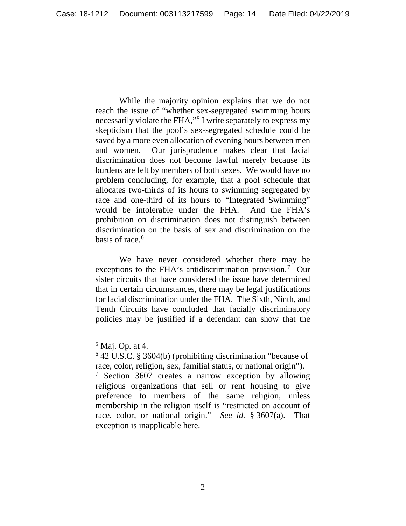While the majority opinion explains that we do not reach the issue of "whether sex-segregated swimming hours necessarily violate the FHA,"<sup>5</sup> I write separately to express my skepticism that the pool's sex-segregated schedule could be saved by a more even allocation of evening hours between men and women. Our jurisprudence makes clear that facial discrimination does not become lawful merely because its burdens are felt by members of both sexes. We would have no problem concluding, for example, that a pool schedule that allocates two-thirds of its hours to swimming segregated by race and one-third of its hours to "Integrated Swimming" would be intolerable under the FHA. And the FHA's prohibition on discrimination does not distinguish between discrimination on the basis of sex and discrimination on the basis of race. $6$ 

We have never considered whether there may be exceptions to the FHA's antidiscrimination provision.<sup>7</sup> Our sister circuits that have considered the issue have determined that in certain circumstances, there may be legal justifications for facial discrimination under the FHA. The Sixth, Ninth, and Tenth Circuits have concluded that facially discriminatory policies may be justified if a defendant can show that the

 $<sup>5</sup>$  Maj. Op. at 4.</sup>

<sup>6</sup> 42 U.S.C. § 3604(b) (prohibiting discrimination "because of race, color, religion, sex, familial status, or national origin").

<sup>&</sup>lt;sup>7</sup> Section 3607 creates a narrow exception by allowing religious organizations that sell or rent housing to give preference to members of the same religion, unless membership in the religion itself is "restricted on account of race, color, or national origin." *See id.* § 3607(a). That exception is inapplicable here.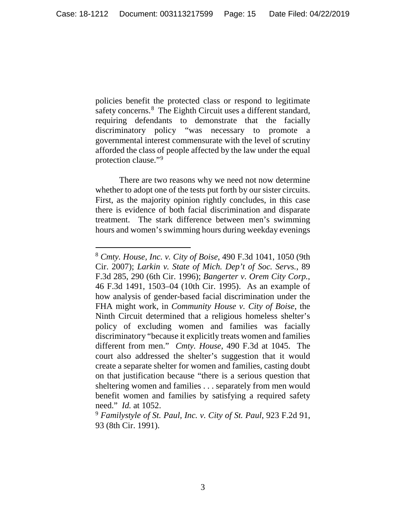policies benefit the protected class or respond to legitimate safety concerns.<sup>8</sup> The Eighth Circuit uses a different standard, requiring defendants to demonstrate that the facially discriminatory policy "was necessary to promote a governmental interest commensurate with the level of scrutiny afforded the class of people affected by the law under the equal protection clause."9

There are two reasons why we need not now determine whether to adopt one of the tests put forth by our sister circuits. First, as the majority opinion rightly concludes, in this case there is evidence of both facial discrimination and disparate treatment. The stark difference between men's swimming hours and women's swimming hours during weekday evenings

 <sup>8</sup> *Cmty. House, Inc. v. City of Boise*, 490 F.3d 1041, 1050 (9th Cir. 2007); *Larkin v. State of Mich. Dep't of Soc. Servs.*, 89 F.3d 285, 290 (6th Cir. 1996); *Bangerter v. Orem City Corp.*, 46 F.3d 1491, 1503–04 (10th Cir. 1995). As an example of how analysis of gender-based facial discrimination under the FHA might work, in *Community House v. City of Boise*, the Ninth Circuit determined that a religious homeless shelter's policy of excluding women and families was facially discriminatory "because it explicitly treats women and families different from men." *Cmty. House*, 490 F.3d at 1045. The court also addressed the shelter's suggestion that it would create a separate shelter for women and families, casting doubt on that justification because "there is a serious question that sheltering women and families . . . separately from men would benefit women and families by satisfying a required safety need." *Id.* at 1052.

<sup>9</sup> *Familystyle of St. Paul, Inc. v. City of St. Paul*, 923 F.2d 91, 93 (8th Cir. 1991).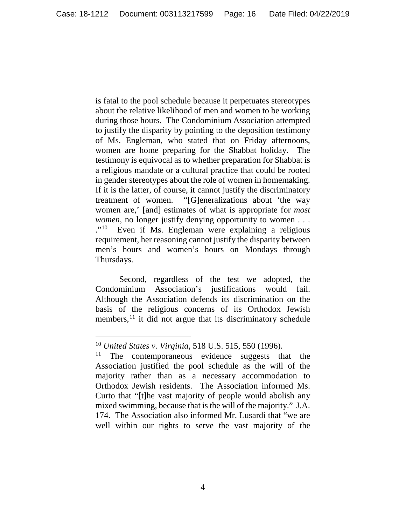is fatal to the pool schedule because it perpetuates stereotypes about the relative likelihood of men and women to be working during those hours. The Condominium Association attempted to justify the disparity by pointing to the deposition testimony of Ms. Engleman, who stated that on Friday afternoons, women are home preparing for the Shabbat holiday. The testimony is equivocal as to whether preparation for Shabbat is a religious mandate or a cultural practice that could be rooted in gender stereotypes about the role of women in homemaking. If it is the latter, of course, it cannot justify the discriminatory treatment of women. "[G]eneralizations about 'the way women are,' [and] estimates of what is appropriate for *most women*, no longer justify denying opportunity to women . . . ."10 Even if Ms. Engleman were explaining a religious requirement, her reasoning cannot justify the disparity between men's hours and women's hours on Mondays through Thursdays.

Second, regardless of the test we adopted, the Condominium Association's justifications would fail. Although the Association defends its discrimination on the basis of the religious concerns of its Orthodox Jewish members, $11$  it did not argue that its discriminatory schedule

 <sup>10</sup> *United States v. Virginia*, 518 U.S. 515, 550 (1996).

 $11$  The contemporaneous evidence suggests that the Association justified the pool schedule as the will of the majority rather than as a necessary accommodation to Orthodox Jewish residents. The Association informed Ms. Curto that "[t]he vast majority of people would abolish any mixed swimming, because that is the will of the majority." J.A. 174. The Association also informed Mr. Lusardi that "we are well within our rights to serve the vast majority of the